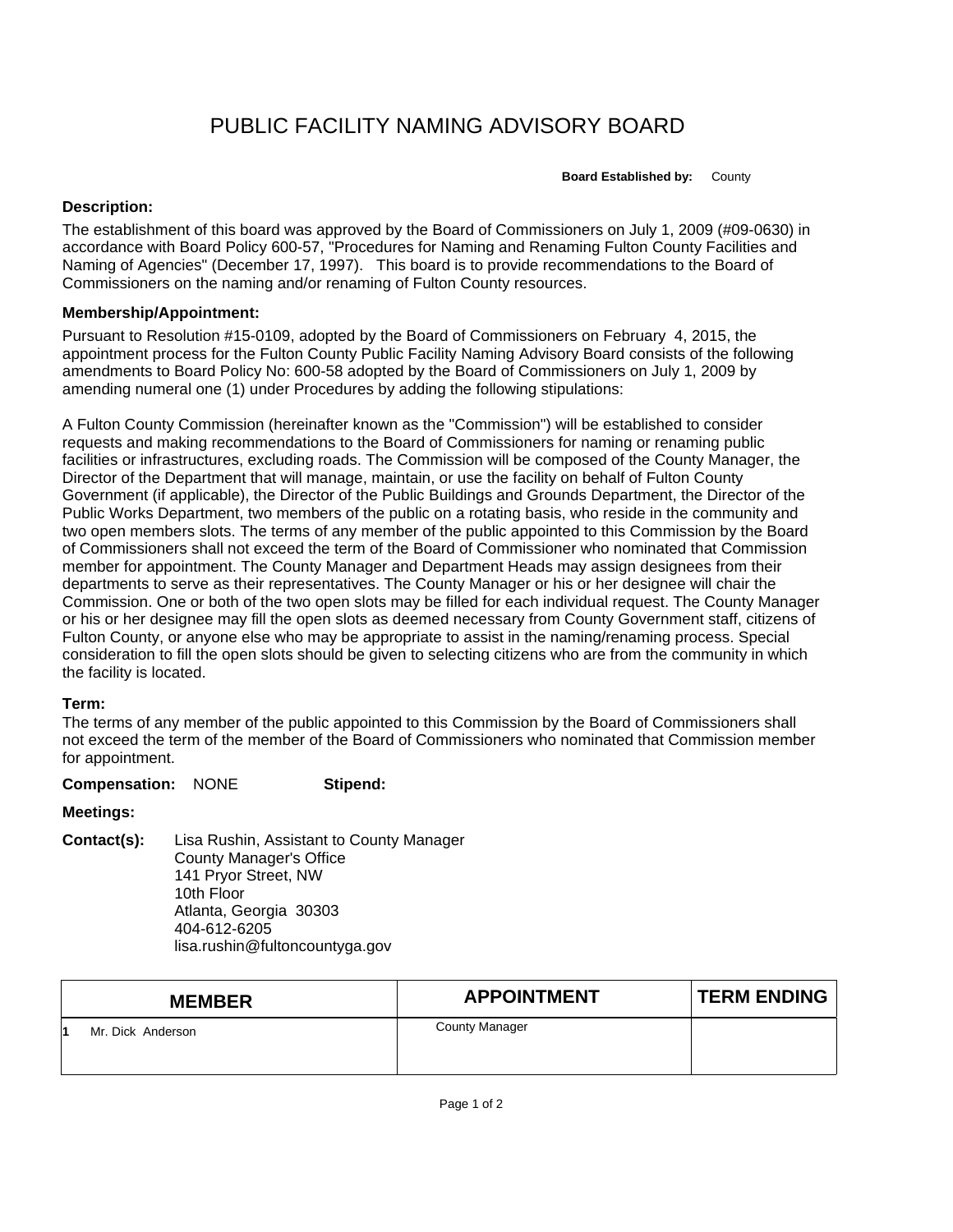# PUBLIC FACILITY NAMING ADVISORY BOARD

**Board Established by:** County

#### **Description:**

The establishment of this board was approved by the Board of Commissioners on July 1, 2009 (#09-0630) in accordance with Board Policy 600-57, "Procedures for Naming and Renaming Fulton County Facilities and Naming of Agencies" (December 17, 1997). This board is to provide recommendations to the Board of Commissioners on the naming and/or renaming of Fulton County resources.

### **Membership/Appointment:**

Pursuant to Resolution #15-0109, adopted by the Board of Commissioners on February 4, 2015, the appointment process for the Fulton County Public Facility Naming Advisory Board consists of the following amendments to Board Policy No: 600-58 adopted by the Board of Commissioners on July 1, 2009 by amending numeral one (1) under Procedures by adding the following stipulations:

A Fulton County Commission (hereinafter known as the "Commission") will be established to consider requests and making recommendations to the Board of Commissioners for naming or renaming public facilities or infrastructures, excluding roads. The Commission will be composed of the County Manager, the Director of the Department that will manage, maintain, or use the facility on behalf of Fulton County Government (if applicable), the Director of the Public Buildings and Grounds Department, the Director of the Public Works Department, two members of the public on a rotating basis, who reside in the community and two open members slots. The terms of any member of the public appointed to this Commission by the Board of Commissioners shall not exceed the term of the Board of Commissioner who nominated that Commission member for appointment. The County Manager and Department Heads may assign designees from their departments to serve as their representatives. The County Manager or his or her designee will chair the Commission. One or both of the two open slots may be filled for each individual request. The County Manager or his or her designee may fill the open slots as deemed necessary from County Government staff, citizens of Fulton County, or anyone else who may be appropriate to assist in the naming/renaming process. Special consideration to fill the open slots should be given to selecting citizens who are from the community in which the facility is located.

#### **Term:**

The terms of any member of the public appointed to this Commission by the Board of Commissioners shall not exceed the term of the member of the Board of Commissioners who nominated that Commission member for appointment.

#### **Compensation:** NONE **Stipend:**

## **Meetings:**

**Contact(s):** Lisa Rushin, Assistant to County Manager County Manager's Office 141 Pryor Street, NW 10th Floor Atlanta, Georgia 30303 404-612-6205 lisa.rushin@fultoncountyga.gov

| <b>MEMBER</b>     | <b>APPOINTMENT</b>    | <b>TERM ENDING</b> |
|-------------------|-----------------------|--------------------|
| Mr. Dick Anderson | <b>County Manager</b> |                    |